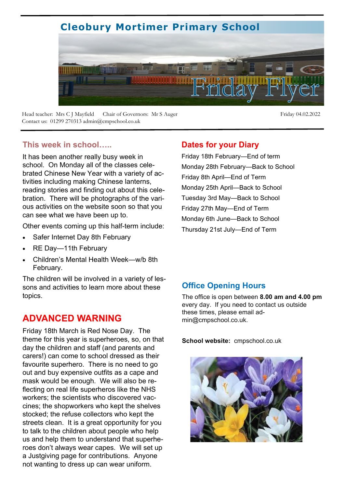# **Cleobury Mortimer Primary School**



Head teacher: Mrs C J Mayfield Chair of Governors: Mr S Auger Friday 04.02.2022 Contact us: 01299 270313 admin@cmpschool.co.uk

#### **This week in school…..**

It has been another really busy week in school. On Monday all of the classes celebrated Chinese New Year with a variety of activities including making Chinese lanterns, reading stories and finding out about this celebration. There will be photographs of the various activities on the website soon so that you can see what we have been up to.

Other events coming up this half-term include:

- Safer Internet Day 8th February
- RE Day-11th February
- Children's Mental Health Week—w/b 8th February.

The children will be involved in a variety of lessons and activities to learn more about these topics.

### **ADVANCED WARNING**

Friday 18th March is Red Nose Day. The theme for this year is superheroes, so, on that day the children and staff (and parents and carers!) can come to school dressed as their favourite superhero. There is no need to go out and buy expensive outfits as a cape and mask would be enough. We will also be reflecting on real life superheros like the NHS workers; the scientists who discovered vaccines; the shopworkers who kept the shelves stocked; the refuse collectors who kept the streets clean. It is a great opportunity for you to talk to the children about people who help us and help them to understand that superheroes don't always wear capes. We will set up a Justgiving page for contributions. Anyone not wanting to dress up can wear uniform.

#### **Dates for your Diary**

Friday 18th February—End of term Monday 28th February—Back to School Friday 8th April—End of Term Monday 25th April—Back to School Tuesday 3rd May—Back to School Friday 27th May—End of Term Monday 6th June—Back to School Thursday 21st July—End of Term

#### **Office Opening Hours**

The office is open between **8.00 am and 4.00 pm**  every day. If you need to contact us outside these times, please email admin@cmpschool.co.uk.

**School website:** cmpschool.co.uk

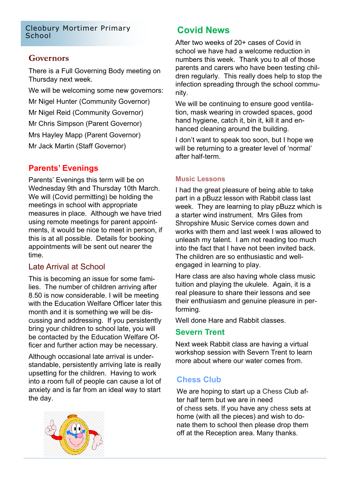# Cleobury Mortimer Primary School **Covid News**

#### **Governors**

There is a Full Governing Body meeting on Thursday next week.

We will be welcoming some new governors: Mr Nigel Hunter (Community Governor) Mr Nigel Reid (Community Governor) Mr Chris Simpson (Parent Governor) Mrs Hayley Mapp (Parent Governor) Mr Jack Martin (Staff Governor)

#### **Parents' Evenings**

Parents' Evenings this term will be on Wednesday 9th and Thursday 10th March. We will (Covid permitting) be holding the meetings in school with appropriate measures in place. Although we have tried using remote meetings for parent appointments, it would be nice to meet in person, if this is at all possible. Details for booking appointments will be sent out nearer the time.

#### Late Arrival at School

This is becoming an issue for some families. The number of children arriving after 8.50 is now considerable. I will be meeting with the Education Welfare Officer later this month and it is something we will be discussing and addressing. If you persistently bring your children to school late, you will be contacted by the Education Welfare Officer and further action may be necessary.

Although occasional late arrival is understandable, persistently arriving late is really upsetting for the children. Having to work into a room full of people can cause a lot of anxiety and is far from an ideal way to start the day.



After two weeks of 20+ cases of Covid in school we have had a welcome reduction in numbers this week. Thank you to all of those parents and carers who have been testing children regularly. This really does help to stop the infection spreading through the school community.

We will be continuing to ensure good ventilation, mask wearing in crowded spaces, good hand hygiene, catch it, bin it, kill it and enhanced cleaning around the building.

I don't want to speak too soon, but I hope we will be returning to a greater level of 'normal' after half-term.

#### **Music Lessons**

I had the great pleasure of being able to take part in a pBuzz lesson with Rabbit class last week. They are learning to play pBuzz which is a starter wind instrument. Mrs Giles from Shropshire Music Service comes down and works with them and last week I was allowed to unleash my talent. I am not reading too much into the fact that I have not been invited back. The children are so enthusiastic and wellengaged in learning to play.

Hare class are also having whole class music tuition and playing the ukulele. Again, it is a real pleasure to share their lessons and see their enthusiasm and genuine pleasure in performing.

Well done Hare and Rabbit classes.

#### **Severn Trent**

Next week Rabbit class are having a virtual workshop session with Severn Trent to learn more about where our water comes from.

#### **Chess Club**

We are hoping to start up a Chess Club after half term but we are in need of chess sets. If you have any chess sets at home (with all the pieces) and wish to donate them to school then please drop them off at the Reception area. Many thanks.